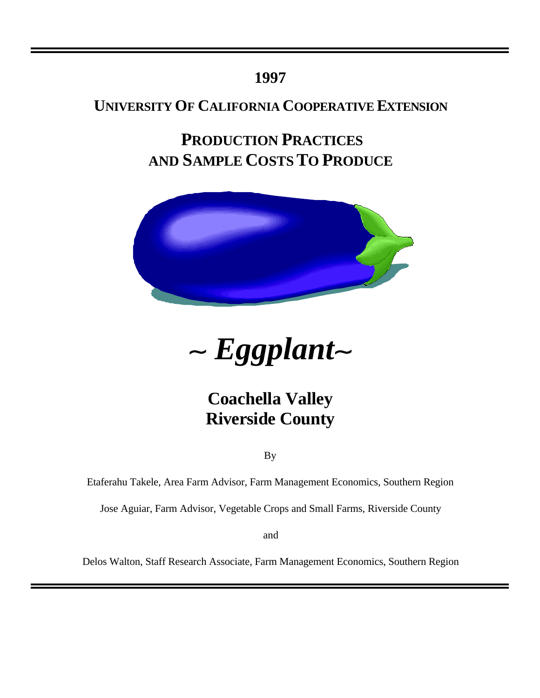## **1997**

## **UNIVERSITY OF CALIFORNIA COOPERATIVE EXTENSION**

**PRODUCTION PRACTICES AND SAMPLE COSTS TO PRODUCE**





# **Coachella Valley Riverside County**

By

Etaferahu Takele, Area Farm Advisor, Farm Management Economics, Southern Region

Jose Aguiar, Farm Advisor, Vegetable Crops and Small Farms, Riverside County

and

Delos Walton, Staff Research Associate, Farm Management Economics, Southern Region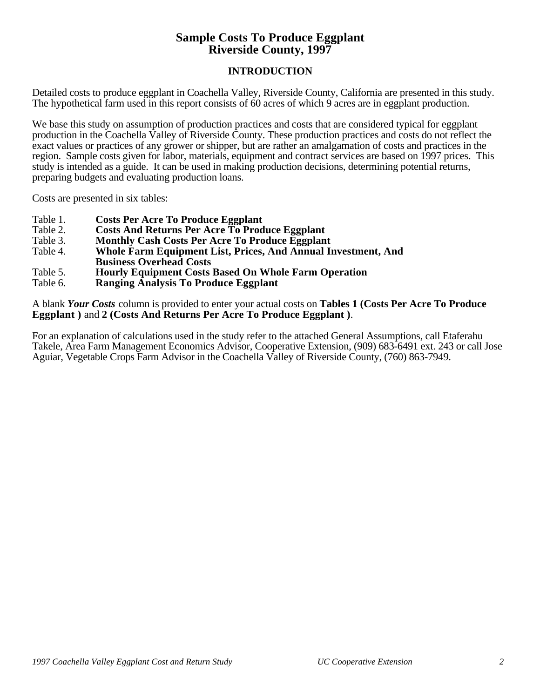## **Sample Costs To Produce Eggplant Riverside County, 1997**

## **INTRODUCTION**

Detailed costs to produce eggplant in Coachella Valley, Riverside County, California are presented in this study. The hypothetical farm used in this report consists of 60 acres of which 9 acres are in eggplant production.

We base this study on assumption of production practices and costs that are considered typical for eggplant production in the Coachella Valley of Riverside County. These production practices and costs do not reflect the exact values or practices of any grower or shipper, but are rather an amalgamation of costs and practices in the region. Sample costs given for labor, materials, equipment and contract services are based on 1997 prices. This study is intended as a guide. It can be used in making production decisions, determining potential returns, preparing budgets and evaluating production loans.

Costs are presented in six tables:

- Table 1. **Costs Per Acre To Produce Eggplant**
- Table 2. **Costs And Returns Per Acre To Produce Eggplant**
- Table 3. **Monthly Cash Costs Per Acre To Produce Eggplant**
- **Whole Farm Equipment List, Prices, And Annual Investment, And Business Overhead Costs**
- Table 5. **Hourly Equipment Costs Based On Whole Farm Operation**
- **Ranging Analysis To Produce Eggplant**

A blank *Your Costs* column is provided to enter your actual costs on **Tables 1 (Costs Per Acre To Produce Eggplant )** and **2 (Costs And Returns Per Acre To Produce Eggplant )**.

For an explanation of calculations used in the study refer to the attached General Assumptions, call Etaferahu Takele, Area Farm Management Economics Advisor, Cooperative Extension, (909) 683-6491 ext. 243 or call Jose Aguiar, Vegetable Crops Farm Advisor in the Coachella Valley of Riverside County, (760) 863-7949.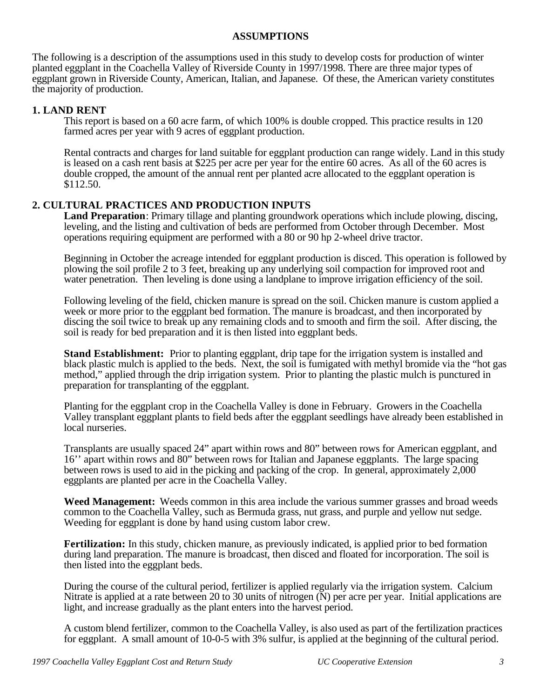## **ASSUMPTIONS**

The following is a description of the assumptions used in this study to develop costs for production of winter planted eggplant in the Coachella Valley of Riverside County in 1997/1998. There are three major types of eggplant grown in Riverside County, American, Italian, and Japanese. Of these, the American variety constitutes the majority of production.

## **1. LAND RENT**

This report is based on a 60 acre farm, of which 100% is double cropped. This practice results in 120 farmed acres per year with 9 acres of eggplant production.

Rental contracts and charges for land suitable for eggplant production can range widely. Land in this study is leased on a cash rent basis at \$225 per acre per year for the entire 60 acres. As all of the 60 acres is double cropped, the amount of the annual rent per planted acre allocated to the eggplant operation is \$112.50.

## **2. CULTURAL PRACTICES AND PRODUCTION INPUTS**

**Land Preparation**: Primary tillage and planting groundwork operations which include plowing, discing, leveling, and the listing and cultivation of beds are performed from October through December. Most operations requiring equipment are performed with a 80 or 90 hp 2-wheel drive tractor.

Beginning in October the acreage intended for eggplant production is disced. This operation is followed by plowing the soil profile 2 to 3 feet, breaking up any underlying soil compaction for improved root and water penetration. Then leveling is done using a landplane to improve irrigation efficiency of the soil.

Following leveling of the field, chicken manure is spread on the soil. Chicken manure is custom applied a week or more prior to the eggplant bed formation. The manure is broadcast, and then incorporated by discing the soil twice to break up any remaining clods and to smooth and firm the soil. After discing, the soil is ready for bed preparation and it is then listed into eggplant beds.

**Stand Establishment:** Prior to planting eggplant, drip tape for the irrigation system is installed and black plastic mulch is applied to the beds. Next, the soil is fumigated with methyl bromide via the "hot gas method," applied through the drip irrigation system. Prior to planting the plastic mulch is punctured in preparation for transplanting of the eggplant.

Planting for the eggplant crop in the Coachella Valley is done in February. Growers in the Coachella Valley transplant eggplant plants to field beds after the eggplant seedlings have already been established in local nurseries.

Transplants are usually spaced 24" apart within rows and 80" between rows for American eggplant, and 16'' apart within rows and 80" between rows for Italian and Japanese eggplants. The large spacing between rows is used to aid in the picking and packing of the crop. In general, approximately 2,000 eggplants are planted per acre in the Coachella Valley.

**Weed Management:** Weeds common in this area include the various summer grasses and broad weeds common to the Coachella Valley, such as Bermuda grass, nut grass, and purple and yellow nut sedge. Weeding for eggplant is done by hand using custom labor crew.

**Fertilization:** In this study, chicken manure, as previously indicated, is applied prior to bed formation during land preparation. The manure is broadcast, then disced and floated for incorporation. The soil is then listed into the eggplant beds.

During the course of the cultural period, fertilizer is applied regularly via the irrigation system. Calcium Nitrate is applied at a rate between 20 to 30 units of nitrogen (N) per acre per year. Initial applications are light, and increase gradually as the plant enters into the harvest period.

A custom blend fertilizer, common to the Coachella Valley, is also used as part of the fertilization practices for eggplant. A small amount of 10-0-5 with 3% sulfur, is applied at the beginning of the cultural period.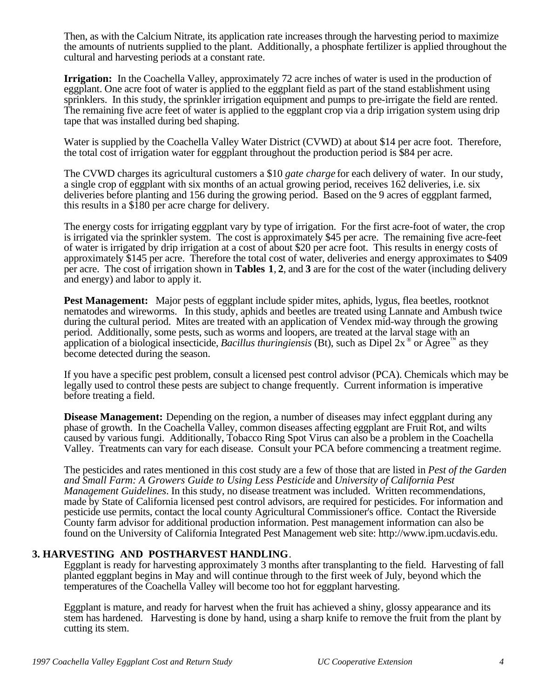Then, as with the Calcium Nitrate, its application rate increases through the harvesting period to maximize the amounts of nutrients supplied to the plant. Additionally, a phosphate fertilizer is applied throughout the cultural and harvesting periods at a constant rate.

**Irrigation:** In the Coachella Valley, approximately 72 acre inches of water is used in the production of eggplant. One acre foot of water is applied to the eggplant field as part of the stand establishment using sprinklers. In this study, the sprinkler irrigation equipment and pumps to pre-irrigate the field are rented. The remaining five acre feet of water is applied to the eggplant crop via a drip irrigation system using drip tape that was installed during bed shaping.

Water is supplied by the Coachella Valley Water District (CVWD) at about \$14 per acre foot. Therefore, the total cost of irrigation water for eggplant throughout the production period is \$84 per acre.

The CVWD charges its agricultural customers a \$10 *gate charge* for each delivery of water. In our study, a single crop of eggplant with six months of an actual growing period, receives 162 deliveries, i.e. six deliveries before planting and 156 during the growing period. Based on the 9 acres of eggplant farmed, this results in a \$180 per acre charge for delivery.

The energy costs for irrigating eggplant vary by type of irrigation. For the first acre-foot of water, the crop is irrigated via the sprinkler system. The cost is approximately \$45 per acre. The remaining five acre-feet of water is irrigated by drip irrigation at a cost of about \$20 per acre foot. This results in energy costs of approximately \$145 per acre. Therefore the total cost of water, deliveries and energy approximates to \$409 per acre. The cost of irrigation shown in **Tables 1**, **2**, and **3** are for the cost of the water (including delivery and energy) and labor to apply it.

Pest Management: Major pests of eggplant include spider mites, aphids, lygus, flea beetles, rootknot nematodes and wireworms. In this study, aphids and beetles are treated using Lannate and Ambush twice during the cultural period. Mites are treated with an application of Vendex mid-way through the growing period. Additionally, some pests, such as worms and loopers, are treated at the larval stage with an application of a biological insecticide, *Bacillus thuringiensis* (Bt), such as Dipel  $2x^{\circ}$  or Agree<sup>™</sup> as they become detected during the season.

If you have a specific pest problem, consult a licensed pest control advisor (PCA). Chemicals which may be legally used to control these pests are subject to change frequently. Current information is imperative before treating a field.

**Disease Management:** Depending on the region, a number of diseases may infect eggplant during any phase of growth. In the Coachella Valley, common diseases affecting eggplant are Fruit Rot, and wilts caused by various fungi. Additionally, Tobacco Ring Spot Virus can also be a problem in the Coachella Valley. Treatments can vary for each disease. Consult your PCA before commencing a treatment regime.

The pesticides and rates mentioned in this cost study are a few of those that are listed in *Pest of the Garden and Small Farm: A Growers Guide to Using Less Pesticide* and *University of California Pest Management Guidelines*. In this study, no disease treatment was included. Written recommendations, made by State of California licensed pest control advisors, are required for pesticides. For information and pesticide use permits, contact the local county Agricultural Commissioner's office. Contact the Riverside County farm advisor for additional production information. Pest management information can also be found on the University of California Integrated Pest Management web site: http://www.ipm.ucdavis.edu.

## **3. HARVESTING AND POSTHARVEST HANDLING**.

Eggplant is ready for harvesting approximately 3 months after transplanting to the field. Harvesting of fall planted eggplant begins in May and will continue through to the first week of July, beyond which the temperatures of the Coachella Valley will become too hot for eggplant harvesting.

Eggplant is mature, and ready for harvest when the fruit has achieved a shiny, glossy appearance and its stem has hardened. Harvesting is done by hand, using a sharp knife to remove the fruit from the plant by cutting its stem.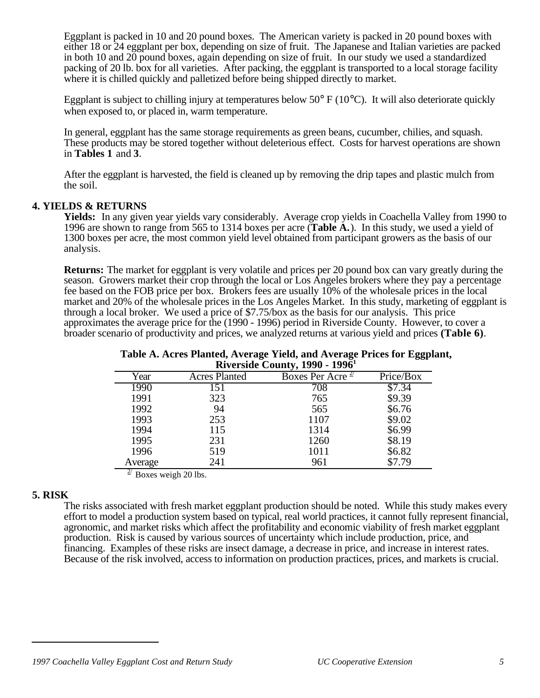Eggplant is packed in 10 and 20 pound boxes. The American variety is packed in 20 pound boxes with either 18 or 24 eggplant per box, depending on size of fruit. The Japanese and Italian varieties are packed in both 10 and 20 pound boxes, again depending on size of fruit. In our study we used a standardized packing of 20 lb. box for all varieties. After packing, the eggplant is transported to a local storage facility where it is chilled quickly and palletized before being shipped directly to market.

Eggplant is subject to chilling injury at temperatures below 50 $\degree$  F (10 $\degree$ C). It will also deteriorate quickly when exposed to, or placed in, warm temperature.

In general, eggplant has the same storage requirements as green beans, cucumber, chilies, and squash. These products may be stored together without deleterious effect. Costs for harvest operations are shown in **Tables 1** and **3**.

After the eggplant is harvested, the field is cleaned up by removing the drip tapes and plastic mulch from the soil.

## **4. YIELDS & RETURNS**

**Yields:** In any given year yields vary considerably. Average crop yields in Coachella Valley from 1990 to 1996 are shown to range from 565 to 1314 boxes per acre (**Table A.**). In this study, we used a yield of 1300 boxes per acre, the most common yield level obtained from participant growers as the basis of our analysis.

**Returns:** The market for eggplant is very volatile and prices per 20 pound box can vary greatly during the season. Growers market their crop through the local or Los Angeles brokers where they pay a percentage fee based on the FOB price per box. Brokers fees are usually 10% of the wholesale prices in the local market and 20% of the wholesale prices in the Los Angeles Market. In this study, marketing of eggplant is through a local broker. We used a price of \$7.75/box as the basis for our analysis. This price approximates the average price for the (1990 - 1996) period in Riverside County. However, to cover a broader scenario of productivity and prices, we analyzed returns at various yield and prices **(Table 6)**.

|         |                      | <b>KIVCL3RIC COUTILY, 1220 - 1220</b> |           |
|---------|----------------------|---------------------------------------|-----------|
| Year    | <b>Acres Planted</b> | Boxes Per Acre $\frac{2}{3}$          | Price/Box |
| 1990    | 151                  | 708                                   | \$7.34    |
| 1991    | 323                  | 765                                   | \$9.39    |
| 1992    | 94                   | 565                                   | \$6.76    |
| 1993    | 253                  | 1107                                  | \$9.02    |
| 1994    | 115                  | 1314                                  | \$6.99    |
| 1995    | 231                  | 1260                                  | \$8.19    |
| 1996    | 519                  | 1011                                  | \$6.82    |
| Average | 241                  | 961                                   | \$7.79    |

**Table A. Acres Planted, Average Yield, and Average Prices for Eggplant, Riverside County, 1990 - 1996<sup>1</sup>**

 $\frac{2}{7}$  Boxes weigh 20 lbs.

## **5. RISK**

l

The risks associated with fresh market eggplant production should be noted. While this study makes every effort to model a production system based on typical, real world practices, it cannot fully represent financial, agronomic, and market risks which affect the profitability and economic viability of fresh market eggplant production. Risk is caused by various sources of uncertainty which include production, price, and financing. Examples of these risks are insect damage, a decrease in price, and increase in interest rates. Because of the risk involved, access to information on production practices, prices, and markets is crucial.

*<sup>1997</sup> Coachella Valley Eggplant Cost and Return Study UC Cooperative Extension 5*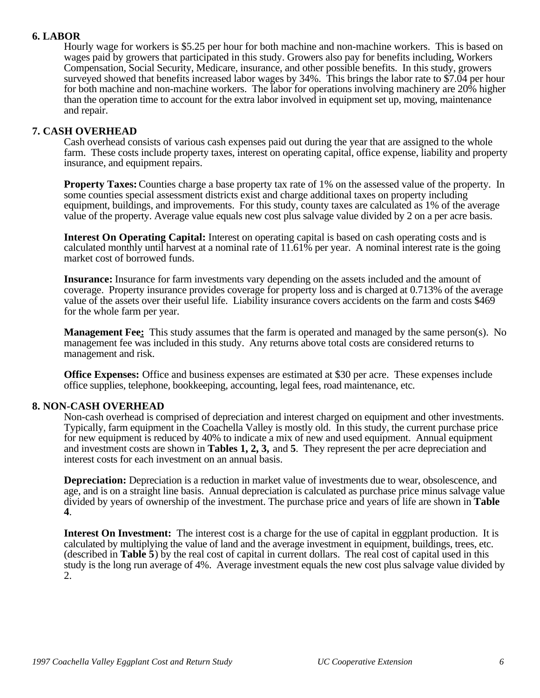## **6. LABOR**

Hourly wage for workers is \$5.25 per hour for both machine and non-machine workers. This is based on wages paid by growers that participated in this study. Growers also pay for benefits including, Workers Compensation, Social Security, Medicare, insurance, and other possible benefits. In this study, growers surveyed showed that benefits increased labor wages by 34%. This brings the labor rate to \$7.04 per hour for both machine and non-machine workers. The labor for operations involving machinery are 20% higher than the operation time to account for the extra labor involved in equipment set up, moving, maintenance and repair.

### **7. CASH OVERHEAD**

Cash overhead consists of various cash expenses paid out during the year that are assigned to the whole farm. These costs include property taxes, interest on operating capital, office expense, liability and property insurance, and equipment repairs.

**Property Taxes:** Counties charge a base property tax rate of 1% on the assessed value of the property. In some counties special assessment districts exist and charge additional taxes on property including equipment, buildings, and improvements. For this study, county taxes are calculated as 1% of the average value of the property. Average value equals new cost plus salvage value divided by 2 on a per acre basis.

**Interest On Operating Capital:** Interest on operating capital is based on cash operating costs and is calculated monthly until harvest at a nominal rate of 11.61% per year. A nominal interest rate is the going market cost of borrowed funds.

**Insurance:** Insurance for farm investments vary depending on the assets included and the amount of coverage. Property insurance provides coverage for property loss and is charged at 0.713% of the average value of the assets over their useful life. Liability insurance covers accidents on the farm and costs \$469 for the whole farm per year.

**Management Fee:** This study assumes that the farm is operated and managed by the same person(s). No management fee was included in this study. Any returns above total costs are considered returns to management and risk.

**Office Expenses:** Office and business expenses are estimated at \$30 per acre. These expenses include office supplies, telephone, bookkeeping, accounting, legal fees, road maintenance, etc.

## **8. NON-CASH OVERHEAD**

Non-cash overhead is comprised of depreciation and interest charged on equipment and other investments. Typically, farm equipment in the Coachella Valley is mostly old. In this study, the current purchase price for new equipment is reduced by 40% to indicate a mix of new and used equipment. Annual equipment and investment costs are shown in **Tables 1, 2, 3,** and **5**. They represent the per acre depreciation and interest costs for each investment on an annual basis.

**Depreciation:** Depreciation is a reduction in market value of investments due to wear, obsolescence, and age, and is on a straight line basis. Annual depreciation is calculated as purchase price minus salvage value divided by years of ownership of the investment. The purchase price and years of life are shown in **Table 4**.

**Interest On Investment:** The interest cost is a charge for the use of capital in eggplant production. It is calculated by multiplying the value of land and the average investment in equipment, buildings, trees, etc. (described in **Table 5**) by the real cost of capital in current dollars. The real cost of capital used in this study is the long run average of 4%. Average investment equals the new cost plus salvage value divided by 2.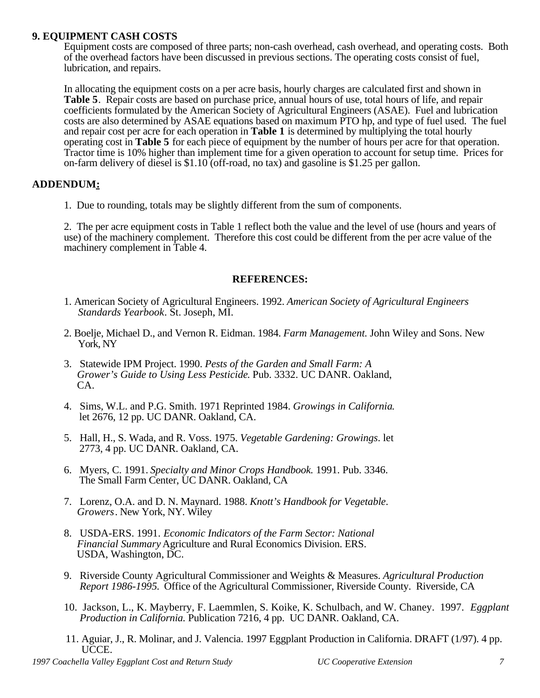## **9. EQUIPMENT CASH COSTS**

Equipment costs are composed of three parts; non-cash overhead, cash overhead, and operating costs. Both of the overhead factors have been discussed in previous sections. The operating costs consist of fuel, lubrication, and repairs.

In allocating the equipment costs on a per acre basis, hourly charges are calculated first and shown in **Table 5**. Repair costs are based on purchase price, annual hours of use, total hours of life, and repair coefficients formulated by the American Society of Agricultural Engineers (ASAE). Fuel and lubrication costs are also determined by ASAE equations based on maximum PTO hp, and type of fuel used. The fuel and repair cost per acre for each operation in **Table 1** is determined by multiplying the total hourly operating cost in **Table 5** for each piece of equipment by the number of hours per acre for that operation. Tractor time is 10% higher than implement time for a given operation to account for setup time. Prices for on-farm delivery of diesel is \$1.10 (off-road, no tax) and gasoline is \$1.25 per gallon.

## **ADDENDUM:**

1. Due to rounding, totals may be slightly different from the sum of components.

2. The per acre equipment costs in Table 1 reflect both the value and the level of use (hours and years of use) of the machinery complement. Therefore this cost could be different from the per acre value of the machinery complement in Table 4.

## **REFERENCES:**

- 1. American Society of Agricultural Engineers. 1992. *American Society of Agricultural Engineers Standards Yearbook*. St. Joseph, MI.
- 2. Boelje, Michael D., and Vernon R. Eidman. 1984. *Farm Management*. John Wiley and Sons. New York, NY
- 3. Statewide IPM Project. 1990. *Pests of the Garden and Small Farm: A Grower's Guide to Using Less Pesticide*. Pub. 3332. UC DANR. Oakland, CA.
- 4. Sims, W.L. and P.G. Smith. 1971 Reprinted 1984. *Growings in California*. let 2676, 12 pp. UC DANR. Oakland, CA.
- 5. Hall, H., S. Wada, and R. Voss. 1975. *Vegetable Gardening: Growings*. let 2773, 4 pp. UC DANR. Oakland, CA.
- 6. Myers, C. 1991. *Specialty and Minor Crops Handbook.* 1991. Pub. 3346. The Small Farm Center, UC DANR. Oakland, CA
- 7. Lorenz, O.A. and D. N. Maynard. 1988. *Knott's Handbook for Vegetable*. *Growers*. New York, NY. Wiley
- 8. USDA-ERS. 1991. *Economic Indicators of the Farm Sector: National Financial Summary* Agriculture and Rural Economics Division. ERS. USDA, Washington, DC.
- 9. Riverside County Agricultural Commissioner and Weights & Measures. *Agricultural Production Report 1986-1995.* Office of the Agricultural Commissioner, Riverside County. Riverside, CA
- 10. Jackson, L., K. Mayberry, F. Laemmlen, S. Koike, K. Schulbach, and W. Chaney. 1997. *Eggplant Production in California.* Publication 7216, 4 pp. UC DANR. Oakland, CA.
- 11. Aguiar, J., R. Molinar, and J. Valencia. 1997 Eggplant Production in California. DRAFT (1/97). 4 pp. UCCE.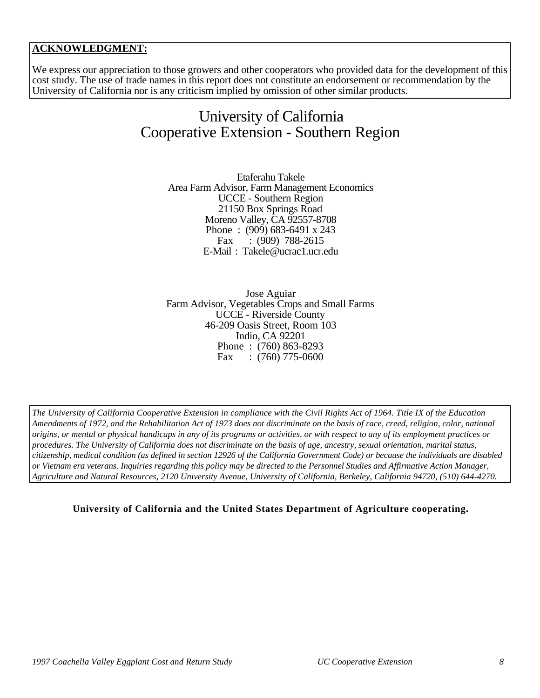## **ACKNOWLEDGMENT:**

We express our appreciation to those growers and other cooperators who provided data for the development of this cost study. The use of trade names in this report does not constitute an endorsement or recommendation by the University of California nor is any criticism implied by omission of other similar products.

## University of California Cooperative Extension - Southern Region

Etaferahu Takele Area Farm Advisor, Farm Management Economics UCCE - Southern Region 21150 Box Springs Road Moreno Valley, CA 92557-8708 Phone : (909) 683-6491 x 243 Fax : (909) 788-2615 E-Mail : Takele@ucrac1.ucr.edu

Jose Aguiar Farm Advisor, Vegetables Crops and Small Farms UCCE - Riverside County 46-209 Oasis Street, Room 103 Indio, CA 92201 Phone : (760) 863-8293 Fax :  $(760)$  775-0600

*The University of California Cooperative Extension in compliance with the Civil Rights Act of 1964. Title IX of the Education Amendments of 1972, and the Rehabilitation Act of 1973 does not discriminate on the basis of race, creed, religion, color, national origins, or mental or physical handicaps in any of its programs or activities, or with respect to any of its employment practices or procedures. The University of California does not discriminate on the basis of age, ancestry, sexual orientation, marital status, citizenship, medical condition (as defined in section 12926 of the California Government Code) or because the individuals are disabled or Vietnam era veterans. Inquiries regarding this policy may be directed to the Personnel Studies and Affirmative Action Manager, Agriculture and Natural Resources, 2120 University Avenue, University of California, Berkeley, California 94720, (510) 644-4270.*

**University of California and the United States Department of Agriculture cooperating.**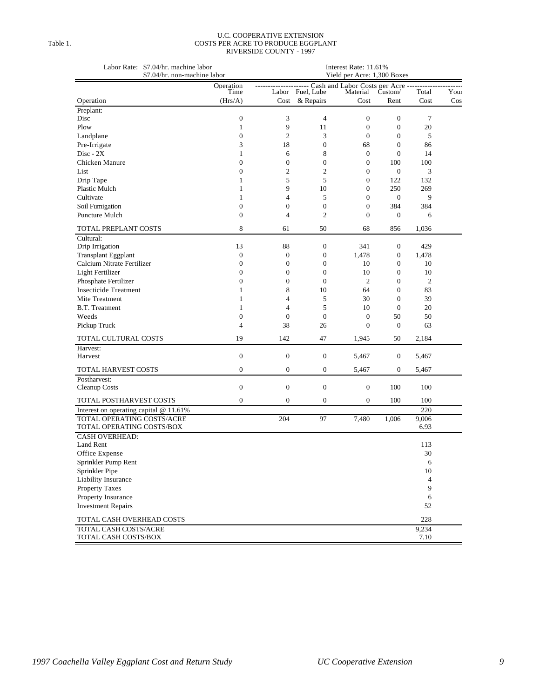### U.C. COOPERATIVE EXTENSION Table 1. COSTS PER ACRE TO PRODUCE EGGPLANT RIVERSIDE COUNTY - 1997

|                                        | Labor Rate: \$7.04/hr. machine labor<br>\$7.04/hr. non-machine labor |                  |                  |                                                                  |                  |                |        |
|----------------------------------------|----------------------------------------------------------------------|------------------|------------------|------------------------------------------------------------------|------------------|----------------|--------|
|                                        | Operation                                                            |                  |                  | Yield per Acre: 1,300 Boxes<br>Cash and Labor Costs per Acre --- |                  |                |        |
|                                        | Time                                                                 | Labor            | Fuel, Lube       | Material                                                         | Custom/          | Total          | Your   |
| Operation                              | (Hrs/A)                                                              | Cost             | & Repairs        | Cost                                                             | Rent             | Cost           | $\cos$ |
| Preplant:                              |                                                                      |                  |                  |                                                                  |                  |                |        |
| Disc                                   | $\boldsymbol{0}$                                                     | 3                | 4                | $\boldsymbol{0}$                                                 | $\boldsymbol{0}$ | $\tau$         |        |
| Plow                                   | $\mathbf{1}$                                                         | 9                | 11               | $\mathbf{0}$                                                     | $\boldsymbol{0}$ | 20             |        |
| Landplane                              | $\mathbf{0}$                                                         | $\mathfrak{2}$   | 3                | $\mathbf{0}$                                                     | $\overline{0}$   | 5              |        |
| Pre-Irrigate                           | 3                                                                    | 18               | $\boldsymbol{0}$ | 68                                                               | $\boldsymbol{0}$ | 86             |        |
| $Disc - 2X$                            | 1                                                                    | 6                | 8                | $\mathbf{0}$                                                     | $\mathbf{0}$     | 14             |        |
| Chicken Manure                         | $\mathbf{0}$                                                         | $\boldsymbol{0}$ | $\boldsymbol{0}$ | $\mathbf{0}$                                                     | 100              | 100            |        |
| List                                   | $\boldsymbol{0}$                                                     | $\mathfrak{2}$   | $\overline{c}$   | $\boldsymbol{0}$                                                 | $\mathbf{0}$     | 3              |        |
| Drip Tape                              | $\mathbf{1}$                                                         | 5                | 5                | $\mathbf{0}$                                                     | 122              | 132            |        |
| Plastic Mulch                          | $\mathbf{1}$                                                         | 9                | 10               | $\mathbf{0}$                                                     | 250              | 269            |        |
| Cultivate                              | $\mathbf{1}$                                                         | $\overline{4}$   | 5                | $\mathbf{0}$                                                     | $\mathbf{0}$     | 9              |        |
| Soil Fumigation                        | $\overline{0}$                                                       | $\mathbf{0}$     | $\boldsymbol{0}$ | $\mathbf{0}$                                                     | 384              | 384            |        |
| Puncture Mulch                         | $\mathbf{0}$                                                         | $\overline{4}$   | $\mathfrak{2}$   | $\mathbf{0}$                                                     | 0                | 6              |        |
| TOTAL PREPLANT COSTS                   | 8                                                                    | 61               | 50               | 68                                                               | 856              | 1,036          |        |
| Cultural:                              |                                                                      |                  |                  |                                                                  |                  |                |        |
| Drip Irrigation                        | 13                                                                   | 88               | $\boldsymbol{0}$ | 341                                                              | 0                | 429            |        |
| <b>Transplant Eggplant</b>             | $\boldsymbol{0}$                                                     | $\boldsymbol{0}$ | $\boldsymbol{0}$ | 1,478                                                            | $\boldsymbol{0}$ | 1,478          |        |
| Calcium Nitrate Fertilizer             | $\boldsymbol{0}$                                                     | $\boldsymbol{0}$ | $\boldsymbol{0}$ | 10                                                               | $\boldsymbol{0}$ | 10             |        |
| Light Fertilizer                       | $\mathbf{0}$                                                         | $\mathbf{0}$     | $\overline{0}$   | 10                                                               | $\overline{0}$   | 10             |        |
| Phosphate Fertilizer                   | $\boldsymbol{0}$                                                     | $\boldsymbol{0}$ | $\boldsymbol{0}$ | 2                                                                | 0                | $\mathfrak{2}$ |        |
| <b>Insecticide Treatment</b>           | $\mathbf{1}$                                                         | 8                | 10               | 64                                                               | $\overline{0}$   | 83             |        |
| Mite Treatment                         | 1                                                                    | $\overline{4}$   | 5                | 30                                                               | $\mathbf{0}$     | 39             |        |
| <b>B.T.</b> Treatment                  | 1                                                                    | $\overline{4}$   | 5                | 10                                                               | $\boldsymbol{0}$ | 20             |        |
| Weeds                                  | $\boldsymbol{0}$                                                     | $\boldsymbol{0}$ | $\boldsymbol{0}$ | $\boldsymbol{0}$                                                 | 50               | 50             |        |
| Pickup Truck                           | $\overline{4}$                                                       | 38               | 26               | $\mathbf{0}$                                                     | $\overline{0}$   | 63             |        |
| TOTAL CULTURAL COSTS                   | 19                                                                   | 142              | 47               | 1,945                                                            | 50               | 2,184          |        |
| Harvest:                               |                                                                      |                  |                  |                                                                  |                  |                |        |
| Harvest                                | $\boldsymbol{0}$                                                     | $\boldsymbol{0}$ | $\boldsymbol{0}$ | 5,467                                                            | $\boldsymbol{0}$ | 5,467          |        |
|                                        |                                                                      |                  |                  |                                                                  |                  |                |        |
| TOTAL HARVEST COSTS                    | $\overline{0}$                                                       | $\mathbf{0}$     | $\boldsymbol{0}$ | 5,467                                                            | 0                | 5,467          |        |
| Postharvest:<br>Cleanup Costs          | $\boldsymbol{0}$                                                     | $\boldsymbol{0}$ | $\boldsymbol{0}$ | $\boldsymbol{0}$                                                 | 100              | 100            |        |
| TOTAL POSTHARVEST COSTS                | $\boldsymbol{0}$                                                     | $\mathbf{0}$     | 0                | $\boldsymbol{0}$                                                 | 100              | 100            |        |
| Interest on operating capital @ 11.61% |                                                                      |                  |                  |                                                                  |                  | 220            |        |
| TOTAL OPERATING COSTS/ACRE             |                                                                      | 204              | 97               | 7,480                                                            | 1,006            | 9,006          |        |
| TOTAL OPERATING COSTS/BOX              |                                                                      |                  |                  |                                                                  |                  | 6.93           |        |
| <b>CASH OVERHEAD:</b>                  |                                                                      |                  |                  |                                                                  |                  |                |        |
| Land Rent                              |                                                                      |                  |                  |                                                                  |                  | 113            |        |
| Office Expense                         |                                                                      |                  |                  |                                                                  |                  | 30             |        |
| Sprinkler Pump Rent                    |                                                                      |                  |                  |                                                                  |                  | 6              |        |
| Sprinkler Pipe                         |                                                                      |                  |                  |                                                                  |                  | 10             |        |
| Liability Insurance                    |                                                                      |                  |                  |                                                                  |                  | $\sqrt{4}$     |        |
| Property Taxes                         |                                                                      |                  |                  |                                                                  |                  | 9              |        |
| Property Insurance                     |                                                                      |                  |                  |                                                                  |                  | 6              |        |
| <b>Investment Repairs</b>              |                                                                      |                  |                  |                                                                  |                  | 52             |        |
| TOTAL CASH OVERHEAD COSTS              |                                                                      |                  |                  |                                                                  |                  | 228            |        |
| TOTAL CASH COSTS/ACRE                  |                                                                      |                  |                  |                                                                  |                  | 9,234          |        |
| TOTAL CASH COSTS/BOX                   |                                                                      |                  |                  |                                                                  |                  | 7.10           |        |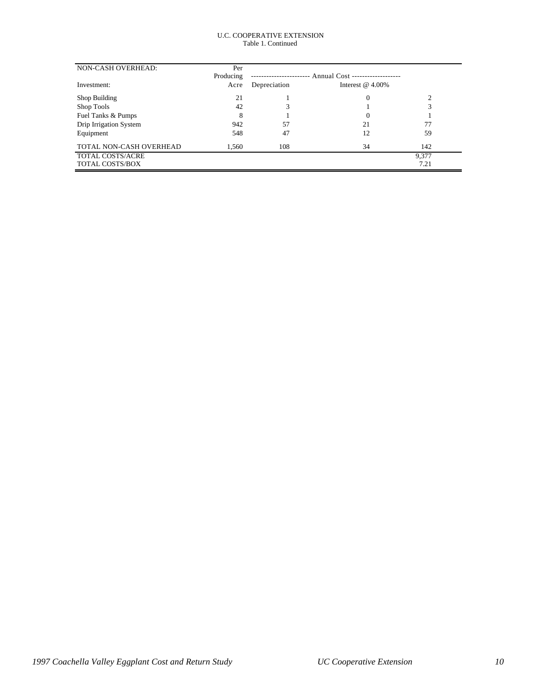### U.C. COOPERATIVE EXTENSION Table 1. Continued

| NON-CASH OVERHEAD:      | Per       |              |                                 |       |  |
|-------------------------|-----------|--------------|---------------------------------|-------|--|
|                         | Producing |              | Annual Cost ------------------- |       |  |
| Investment:             | Acre      | Depreciation | Interest $@$ 4.00%              |       |  |
| Shop Building           | 21        |              | 0                               |       |  |
| Shop Tools              | 42        |              |                                 | 3     |  |
| Fuel Tanks & Pumps      | 8         |              | $\Omega$                        |       |  |
| Drip Irrigation System  | 942       | 57           | 21                              | 77    |  |
| Equipment               | 548       | 47           | 12                              | 59    |  |
| TOTAL NON-CASH OVERHEAD | 1,560     | 108          | 34                              | 142   |  |
| TOTAL COSTS/ACRE        |           |              |                                 | 9,377 |  |
| <b>TOTAL COSTS/BOX</b>  |           |              |                                 | 7.21  |  |
|                         |           |              |                                 |       |  |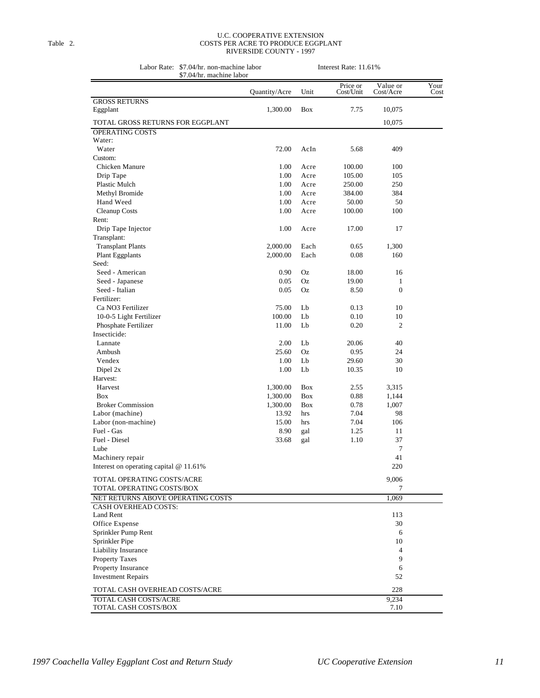### U.C. COOPERATIVE EXTENSION Table 2. COSTS PER ACRE TO PRODUCE EGGPLANT RIVERSIDE COUNTY - 1997

Labor Rate: \$7.04/hr. non-machine labor Interest Rate: 11.61% \$7.04/hr. machine labor

| \$7.04/nr. machine Iabor                                |               |            |                       |                       |              |
|---------------------------------------------------------|---------------|------------|-----------------------|-----------------------|--------------|
|                                                         | Quantity/Acre | Unit       | Price or<br>Cost/Unit | Value or<br>Cost/Acre | Your<br>Cost |
| <b>GROSS RETURNS</b>                                    |               |            |                       |                       |              |
| Eggplant                                                | 1,300.00      | <b>Box</b> | 7.75                  | 10,075                |              |
| TOTAL GROSS RETURNS FOR EGGPLANT                        |               |            |                       | 10,075                |              |
| <b>OPERATING COSTS</b>                                  |               |            |                       |                       |              |
| Water:                                                  |               |            |                       |                       |              |
| Water                                                   | 72.00         | AcIn       | 5.68                  | 409                   |              |
| Custom:                                                 |               |            |                       |                       |              |
| Chicken Manure                                          | 1.00          | Acre       | 100.00                | 100                   |              |
| Drip Tape                                               | 1.00          | Acre       | 105.00                | 105                   |              |
| Plastic Mulch                                           | 1.00          | Acre       | 250.00                | 250                   |              |
| Methyl Bromide                                          | 1.00          | Acre       | 384.00                | 384                   |              |
| Hand Weed                                               | 1.00          | Acre       | 50.00                 | 50                    |              |
| Cleanup Costs                                           | 1.00          | Acre       | 100.00                | 100                   |              |
| Rent:                                                   |               |            |                       |                       |              |
| Drip Tape Injector                                      | 1.00          | Acre       | 17.00                 | 17                    |              |
| Transplant:                                             |               |            |                       |                       |              |
| <b>Transplant Plants</b>                                | 2,000.00      | Each       | 0.65                  | 1,300                 |              |
| Plant Eggplants                                         | 2,000.00      | Each       | 0.08                  | 160                   |              |
| Seed:                                                   |               |            |                       |                       |              |
| Seed - American                                         | 0.90          | Oz         | 18.00                 | 16                    |              |
| Seed - Japanese                                         | 0.05          | Oz         | 19.00                 | $\mathbf{1}$          |              |
| Seed - Italian                                          | 0.05          | Oz         | 8.50                  | $\mathbf{0}$          |              |
| Fertilizer:                                             |               |            |                       |                       |              |
| Ca NO3 Fertilizer                                       | 75.00         | Lb         | 0.13                  | 10                    |              |
| 10-0-5 Light Fertilizer                                 | 100.00        | Lb         | 0.10                  | 10                    |              |
|                                                         |               | Lb         | 0.20                  | $\overline{c}$        |              |
| Phosphate Fertilizer<br>Insecticide:                    | 11.00         |            |                       |                       |              |
| Lannate                                                 | 2.00          | Lb         | 20.06                 | 40                    |              |
|                                                         | 25.60         | Oz         |                       | 24                    |              |
| Ambush                                                  |               |            | 0.95                  | 30                    |              |
| Vendex<br>Dipel 2x                                      | 1.00<br>1.00  | Lb<br>Lb   | 29.60                 | 10                    |              |
| Harvest:                                                |               |            | 10.35                 |                       |              |
|                                                         |               |            |                       |                       |              |
| Harvest                                                 | 1,300.00      | Box        | 2.55                  | 3,315                 |              |
| <b>Box</b><br><b>Broker Commission</b>                  | 1,300.00      | Box        | 0.88                  | 1,144                 |              |
|                                                         | 1,300.00      | Box        | 0.78                  | 1,007                 |              |
| Labor (machine)                                         | 13.92         | hrs        | 7.04                  | 98                    |              |
| Labor (non-machine)<br>Fuel - Gas                       | 15.00         | hrs        | 7.04                  | 106                   |              |
| Fuel - Diesel                                           | 8.90          | gal        | 1.25                  | 11                    |              |
|                                                         | 33.68         | gal        | 1.10                  | 37<br>7               |              |
| Lube                                                    |               |            |                       |                       |              |
| Machinery repair                                        |               |            |                       | 41                    |              |
| Interest on operating capital @ 11.61%                  |               |            |                       | 220                   |              |
| TOTAL OPERATING COSTS/ACRE                              |               |            |                       | 9,006                 |              |
| TOTAL OPERATING COSTS/BOX                               |               |            |                       | 7                     |              |
| NET RETURNS ABOVE OPERATING COSTS                       |               |            |                       | 1,069                 |              |
| <b>CASH OVERHEAD COSTS:</b>                             |               |            |                       |                       |              |
| Land Rent                                               |               |            |                       | 113                   |              |
| Office Expense                                          |               |            |                       | 30                    |              |
| Sprinkler Pump Rent                                     |               |            |                       | 6                     |              |
| Sprinkler Pipe                                          |               |            |                       | 10                    |              |
| Liability Insurance                                     |               |            |                       | $\overline{4}$        |              |
| <b>Property Taxes</b>                                   |               |            |                       | 9                     |              |
| Property Insurance                                      |               |            |                       | 6                     |              |
| <b>Investment Repairs</b>                               |               |            |                       | 52                    |              |
|                                                         |               |            |                       |                       |              |
| TOTAL CASH OVERHEAD COSTS/ACRE<br>TOTAL CASH COSTS/ACRE |               |            |                       | 228<br>9,234          |              |
| TOTAL CASH COSTS/BOX                                    |               |            |                       | 7.10                  |              |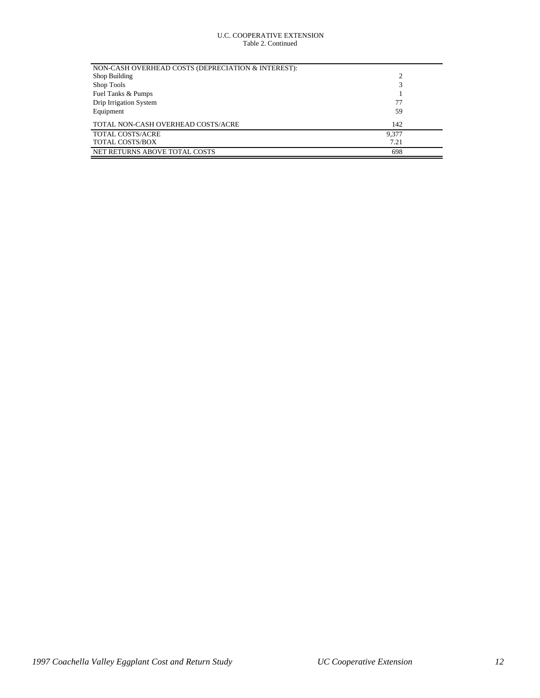### U.C. COOPERATIVE EXTENSION Table 2. Continued

| NON-CASH OVERHEAD COSTS (DEPRECIATION & INTEREST): |                |  |
|----------------------------------------------------|----------------|--|
| Shop Building                                      | $\overline{c}$ |  |
| Shop Tools                                         | 3              |  |
| Fuel Tanks & Pumps                                 |                |  |
| Drip Irrigation System                             | 77             |  |
| Equipment                                          | 59             |  |
| TOTAL NON-CASH OVERHEAD COSTS/ACRE                 | 142            |  |
| <b>TOTAL COSTS/ACRE</b>                            | 9.377          |  |
| <b>TOTAL COSTS/BOX</b>                             | 7.21           |  |
| NET RETURNS ABOVE TOTAL COSTS                      | 698            |  |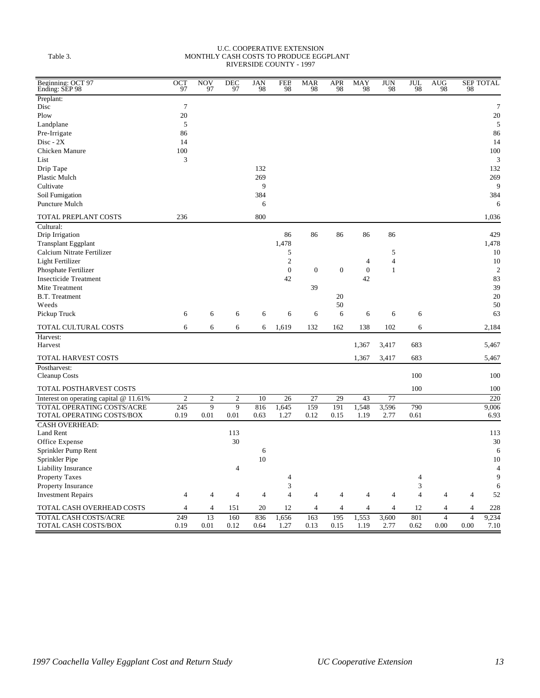#### U.C. COOPERATIVE EXTENSION Table 3. MONTHLY CASH COSTS TO PRODUCE EGGPLANT RIVERSIDE COUNTY - 1997

| Beginning: OCT 97<br>Ending: SEP 98      | $\overline{OCT}$ <sub>97</sub> | <b>NOV</b><br>97 | $DEC$ <sub>97</sub> | <b>JAN</b><br>98 | $\frac{\rm{FEB}}{\rm{98}}$  | $\frac{\text{MAR}}{98}$ | <b>APR</b><br>98 | MAY<br>98        | $\frac{\text{JUN}}{98}$ | $\frac{\text{JUL}}{98}$ | $\frac{\text{AUG}}{98}$ | 98             | <b>SEF TOTAL</b> |
|------------------------------------------|--------------------------------|------------------|---------------------|------------------|-----------------------------|-------------------------|------------------|------------------|-------------------------|-------------------------|-------------------------|----------------|------------------|
| Preplant:                                |                                |                  |                     |                  |                             |                         |                  |                  |                         |                         |                         |                |                  |
| Disc                                     | $\overline{7}$                 |                  |                     |                  |                             |                         |                  |                  |                         |                         |                         |                | $\overline{7}$   |
| Plow                                     | 20                             |                  |                     |                  |                             |                         |                  |                  |                         |                         |                         |                | 20               |
| Landplane                                | 5                              |                  |                     |                  |                             |                         |                  |                  |                         |                         |                         |                | 5                |
| Pre-Irrigate                             | 86                             |                  |                     |                  |                             |                         |                  |                  |                         |                         |                         |                | 86               |
| $Disc - 2X$                              | 14                             |                  |                     |                  |                             |                         |                  |                  |                         |                         |                         |                | 14               |
| Chicken Manure                           | 100                            |                  |                     |                  |                             |                         |                  |                  |                         |                         |                         |                | 100              |
| List                                     | 3                              |                  |                     |                  |                             |                         |                  |                  |                         |                         |                         |                | 3                |
| Drip Tape                                |                                |                  |                     | 132              |                             |                         |                  |                  |                         |                         |                         |                | 132              |
| Plastic Mulch                            |                                |                  |                     | 269              |                             |                         |                  |                  |                         |                         |                         |                | 269              |
| Cultivate                                |                                |                  |                     | 9                |                             |                         |                  |                  |                         |                         |                         |                | 9                |
| Soil Fumigation                          |                                |                  |                     | 384              |                             |                         |                  |                  |                         |                         |                         |                | 384              |
| Puncture Mulch                           |                                |                  |                     | 6                |                             |                         |                  |                  |                         |                         |                         |                | 6                |
| TOTAL PREPLANT COSTS                     | 236                            |                  |                     | 800              |                             |                         |                  |                  |                         |                         |                         |                | 1,036            |
| Cultural:                                |                                |                  |                     |                  |                             |                         |                  |                  |                         |                         |                         |                |                  |
| Drip Irrigation                          |                                |                  |                     |                  | 86                          | 86                      | 86               | 86               | 86                      |                         |                         |                | 429              |
| <b>Transplant Eggplant</b>               |                                |                  |                     |                  | 1,478                       |                         |                  |                  |                         |                         |                         |                | 1,478            |
| Calcium Nitrate Fertilizer               |                                |                  |                     |                  | 5                           |                         |                  |                  | 5                       |                         |                         |                | 10               |
| Light Fertilizer                         |                                |                  |                     |                  | $\overline{2}$              |                         |                  | $\overline{4}$   | 4                       |                         |                         |                | 10               |
| Phosphate Fertilizer                     |                                |                  |                     |                  | $\overline{0}$              | $\boldsymbol{0}$        | $\mathbf{0}$     | $\boldsymbol{0}$ | $\mathbf{1}$            |                         |                         |                | $\overline{2}$   |
| <b>Insecticide Treatment</b>             |                                |                  |                     |                  | 42                          |                         |                  | 42               |                         |                         |                         |                | 83               |
| Mite Treatment                           |                                |                  |                     |                  |                             | 39                      |                  |                  |                         |                         |                         |                | 39               |
| <b>B.T.</b> Treatment                    |                                |                  |                     |                  |                             |                         | 20               |                  |                         |                         |                         |                | 20               |
| Weeds                                    |                                |                  |                     |                  |                             |                         | 50               |                  |                         |                         |                         |                | 50               |
| Pickup Truck                             | 6                              | 6                | 6                   | 6                | 6                           | 6                       | 6                | 6                | 6                       | 6                       |                         |                | 63               |
| TOTAL CULTURAL COSTS                     | 6                              | 6                | 6                   | 6                | 1,619                       | 132                     | 162              | 138              | 102                     | 6                       |                         |                | 2,184            |
| Harvest:                                 |                                |                  |                     |                  |                             |                         |                  |                  |                         |                         |                         |                |                  |
| Harvest                                  |                                |                  |                     |                  |                             |                         |                  | 1,367            | 3,417                   | 683                     |                         |                | 5,467            |
| TOTAL HARVEST COSTS                      |                                |                  |                     |                  |                             |                         |                  | 1,367            | 3,417                   | 683                     |                         |                | 5,467            |
| Postharvest:                             |                                |                  |                     |                  |                             |                         |                  |                  |                         |                         |                         |                |                  |
| Cleanup Costs                            |                                |                  |                     |                  |                             |                         |                  |                  |                         | 100                     |                         |                | 100              |
| TOTAL POSTHARVEST COSTS                  |                                |                  |                     |                  |                             |                         |                  |                  |                         | 100                     |                         |                | 100              |
| Interest on operating capital $@11.61\%$ | $\overline{2}$                 | $\overline{2}$   | $\overline{2}$      | 10               | $\overline{26}$             | $\overline{27}$         | 29               | 43               | $\overline{77}$         |                         |                         |                | 220              |
| TOTAL OPERATING COSTS/ACRE               | 245                            | 9                | 9                   | 816              | 1,645                       | 159                     | 191              | 1,548            | 3,596                   | 790                     |                         |                | 9,006            |
| TOTAL OPERATING COSTS/BOX                | 0.19                           | 0.01             | 0.01                | 0.63             | 1.27                        | 0.12                    | 0.15             | 1.19             | 2.77                    | 0.61                    |                         |                | 6.93             |
| <b>CASH OVERHEAD:</b>                    |                                |                  |                     |                  |                             |                         |                  |                  |                         |                         |                         |                |                  |
| <b>Land Rent</b>                         |                                |                  | 113                 |                  |                             |                         |                  |                  |                         |                         |                         |                | 113              |
| Office Expense                           |                                |                  | 30                  |                  |                             |                         |                  |                  |                         |                         |                         |                | 30               |
| Sprinkler Pump Rent                      |                                |                  |                     | 6                |                             |                         |                  |                  |                         |                         |                         |                | 6                |
| Sprinkler Pipe                           |                                |                  |                     | 10               |                             |                         |                  |                  |                         |                         |                         |                | 10               |
| <b>Liability Insurance</b>               |                                |                  | 4                   |                  |                             |                         |                  |                  |                         |                         |                         |                | $\overline{4}$   |
| <b>Property Taxes</b>                    |                                |                  |                     |                  | $\overline{4}$              |                         |                  |                  |                         | 4                       |                         |                | 9                |
| Property Insurance                       |                                |                  |                     |                  | $\ensuremath{\mathfrak{Z}}$ |                         |                  |                  |                         | 3                       |                         |                | 6                |
| <b>Investment Repairs</b>                | 4                              | $\overline{4}$   | $\overline{4}$      | $\overline{4}$   | $\overline{4}$              | $\overline{4}$          | 4                | $\overline{4}$   | 4                       | $\overline{4}$          | $\overline{4}$          | $\overline{4}$ | 52               |
| TOTAL CASH OVERHEAD COSTS                | 4                              | 4                | 151                 | 20               | 12                          | $\overline{4}$          | 4                | $\overline{4}$   | 4                       | 12                      | 4                       | $\overline{4}$ | 228              |
| TOTAL CASH COSTS/ACRE                    | 249                            | 13               | 160                 | 836              | 1,656                       | 163                     | 195              | 1,553            | 3,600                   | 801                     | $\overline{4}$          | $\overline{4}$ | 9,234            |
| TOTAL CASH COSTS/BOX                     | 0.19                           | 0.01             | 0.12                | 0.64             | 1.27                        | 0.13                    | 0.15             | 1.19             | 2.77                    | 0.62                    | 0.00                    | 0.00           | 7.10             |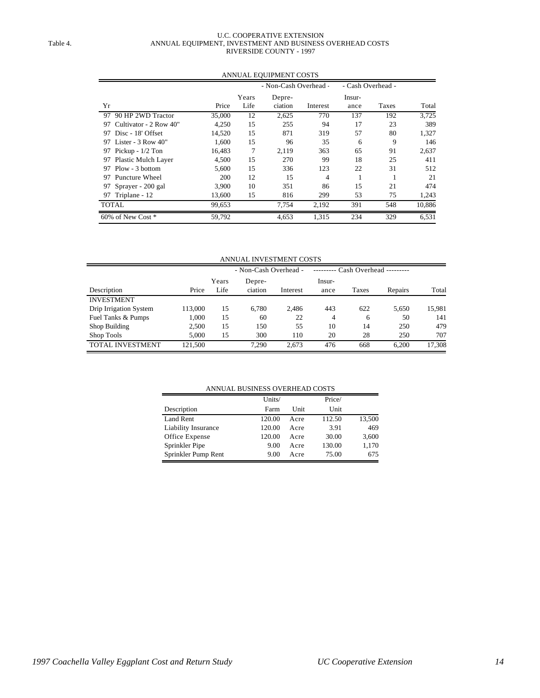### U.C. COOPERATIVE EXTENSION Table 4. **ANNUAL EQUIPMENT, INVESTMENT AND BUSINESS OVERHEAD COSTS** RIVERSIDE COUNTY - 1997

|                               |        |       | - Non-Cash Overhead - |          | - Cash Overhead - |       |        |
|-------------------------------|--------|-------|-----------------------|----------|-------------------|-------|--------|
|                               |        | Years | Depre-                |          | Insur-            |       |        |
| Yr                            | Price  | Life  | ciation               | Interest | ance              | Taxes | Total  |
| 97 90 HP 2WD Tractor          | 35,000 | 12    | 2,625                 | 770      | 137               | 192   | 3,725  |
| Cultivator - 2 Row 40"<br>97  | 4.250  | 15    | 255                   | 94       | 17                | 23    | 389    |
| 97 Disc - 18' Offset          | 14,520 | 15    | 871                   | 319      | 57                | 80    | 1,327  |
| Lister - $3$ Row $40"$<br>97. | 1,600  | 15    | 96                    | 35       | 6                 | 9     | 146    |
| 97 Pickup - 1/2 Ton           | 16,483 | 7     | 2,119                 | 363      | 65                | 91    | 2,637  |
| Plastic Mulch Layer<br>97     | 4,500  | 15    | 270                   | 99       | 18                | 25    | 411    |
| Plow - 3 bottom<br>97         | 5,600  | 15    | 336                   | 123      | 22                | 31    | 512    |
| 97 Puncture Wheel             | 200    | 12    | 15                    | 4        |                   |       | 21     |
| Sprayer - 200 gal<br>97       | 3,900  | 10    | 351                   | 86       | 15                | 21    | 474    |
| 97 Triplane - 12              | 13,600 | 15    | 816                   | 299      | 53                | 75    | 1,243  |
| TOTAL                         | 99.653 |       | 7,754                 | 2,192    | 391               | 548   | 10,886 |
| 60% of New Cost *             | 59,792 |       | 4,653                 | 1,315    | 234               | 329   | 6,531  |

### ANNUAL EQUIPMENT COSTS

ANNUAL INVESTMENT COSTS

|                         |         |       | - Non-Cash Overhead - |          |        | $Cash Overhead$ -------- |         |        |  |
|-------------------------|---------|-------|-----------------------|----------|--------|--------------------------|---------|--------|--|
|                         |         | Years | Depre-                |          | Insur- |                          |         |        |  |
| Description             | Price   | Life  | ciation               | Interest | ance   | Taxes                    | Repairs | Total  |  |
| <b>INVESTMENT</b>       |         |       |                       |          |        |                          |         |        |  |
| Drip Irrigation System  | 113,000 | 15    | 6,780                 | 2,486    | 443    | 622                      | 5,650   | 15,981 |  |
| Fuel Tanks & Pumps      | 1.000   | 15    | 60                    | 22       | 4      | 6                        | 50      | 141    |  |
| Shop Building           | 2.500   | 15    | 150                   | 55       | 10     | 14                       | 250     | 479    |  |
| Shop Tools              | 5.000   | 15    | 300                   | 110      | 20     | 28                       | 250     | 707    |  |
| <b>TOTAL INVESTMENT</b> | 121,500 |       | 7.290                 | 2.673    | 476    | 668                      | 6.200   | 17,308 |  |

### ANNUAL BUSINESS OVERHEAD COSTS

|                     | Units/ |      | Price/ |        |
|---------------------|--------|------|--------|--------|
| Description         | Farm   | Unit | Unit   |        |
| Land Rent           | 120.00 | Acre | 112.50 | 13,500 |
| Liability Insurance | 120.00 | Acre | 3.91   | 469    |
| Office Expense      | 120.00 | Acre | 30.00  | 3,600  |
| Sprinkler Pipe      | 9.00   | Acre | 130.00 | 1,170  |
| Sprinkler Pump Rent | 9.00   | Acre | 75.00  | 675    |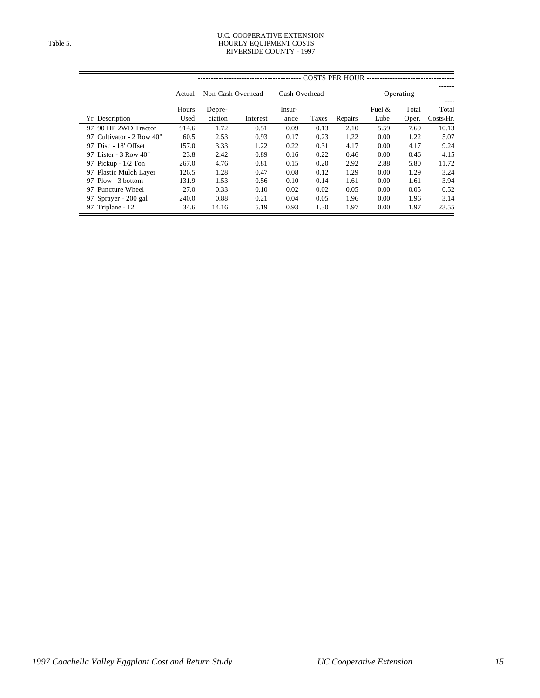#### U.C. COOPERATIVE EXTENSION Table 5. The state of the state of the HOURLY EQUIPMENT COSTS RIVERSIDE COUNTY - 1997

|                           |       |         |                              |        |       | <b>COSTS PER HOUR --</b>                                 |          |       |           |
|---------------------------|-------|---------|------------------------------|--------|-------|----------------------------------------------------------|----------|-------|-----------|
|                           |       |         |                              |        |       |                                                          |          |       |           |
|                           |       |         | Actual - Non-Cash Overhead - |        |       | $-$ Cash Overhead - $-$ -------------------- Operating - |          |       |           |
|                           |       |         |                              |        |       |                                                          |          |       |           |
|                           | Hours | Depre-  |                              | Insur- |       |                                                          | Fuel $&$ | Total | Total     |
| Yr Description            | Used  | ciation | Interest                     | ance   | Taxes | Repairs                                                  | Lube     | Oper. | Costs/Hr. |
| 97 90 HP 2WD Tractor      | 914.6 | 1.72    | 0.51                         | 0.09   | 0.13  | 2.10                                                     | 5.59     | 7.69  | 10.13     |
| 97 Cultivator - 2 Row 40" | 60.5  | 2.53    | 0.93                         | 0.17   | 0.23  | 1.22                                                     | 0.00     | 1.22  | 5.07      |
| 97 Disc - 18' Offset      | 157.0 | 3.33    | 1.22                         | 0.22   | 0.31  | 4.17                                                     | 0.00     | 4.17  | 9.24      |
| 97 Lister - 3 Row 40"     | 23.8  | 2.42    | 0.89                         | 0.16   | 0.22  | 0.46                                                     | 0.00     | 0.46  | 4.15      |
| 97 Pickup - 1/2 Ton       | 267.0 | 4.76    | 0.81                         | 0.15   | 0.20  | 2.92                                                     | 2.88     | 5.80  | 11.72     |
| 97 Plastic Mulch Layer    | 126.5 | 1.28    | 0.47                         | 0.08   | 0.12  | 1.29                                                     | 0.00     | 1.29  | 3.24      |
| 97 Plow - 3 bottom        | 131.9 | 1.53    | 0.56                         | 0.10   | 0.14  | 1.61                                                     | 0.00     | 1.61  | 3.94      |
| 97 Puncture Wheel         | 27.0  | 0.33    | 0.10                         | 0.02   | 0.02  | 0.05                                                     | 0.00     | 0.05  | 0.52      |
| 97 Sprayer - 200 gal      | 240.0 | 0.88    | 0.21                         | 0.04   | 0.05  | 1.96                                                     | 0.00     | 1.96  | 3.14      |
| 97 Triplane - 12'         | 34.6  | 14.16   | 5.19                         | 0.93   | 1.30  | 1.97                                                     | 0.00     | 1.97  | 23.55     |